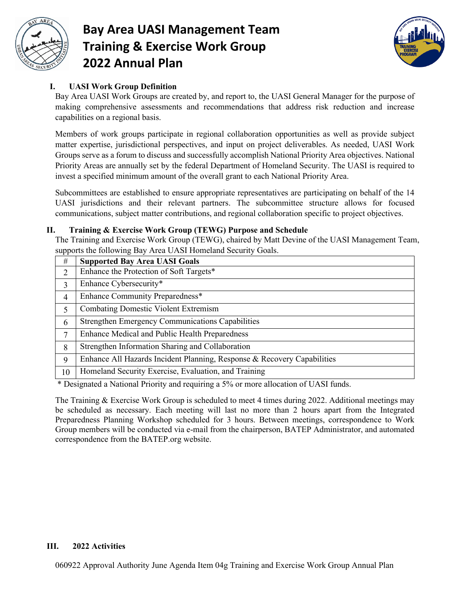

# **Bay Area UASI Management Team Training & Exercise Work Group 2022 Annual Plan**



### **I. UASI Work Group Definition**

Bay Area UASI Work Groups are created by, and report to, the UASI General Manager for the purpose of making comprehensive assessments and recommendations that address risk reduction and increase capabilities on a regional basis.

Members of work groups participate in regional collaboration opportunities as well as provide subject matter expertise, jurisdictional perspectives, and input on project deliverables. As needed, UASI Work Groups serve as a forum to discuss and successfully accomplish National Priority Area objectives. National Priority Areas are annually set by the federal Department of Homeland Security. The UASI is required to invest a specified minimum amount of the overall grant to each National Priority Area.

Subcommittees are established to ensure appropriate representatives are participating on behalf of the 14 UASI jurisdictions and their relevant partners. The subcommittee structure allows for focused communications, subject matter contributions, and regional collaboration specific to project objectives.

#### **II. Training & Exercise Work Group (TEWG) Purpose and Schedule**

The Training and Exercise Work Group (TEWG), chaired by Matt Devine of the UASI Management Team, supports the following Bay Area UASI Homeland Security Goals.

| #  | <b>Supported Bay Area UASI Goals</b>                                    |
|----|-------------------------------------------------------------------------|
| 2  | Enhance the Protection of Soft Targets*                                 |
| 3  | Enhance Cybersecurity*                                                  |
| 4  | Enhance Community Preparedness*                                         |
| 5  | <b>Combating Domestic Violent Extremism</b>                             |
| 6  | Strengthen Emergency Communications Capabilities                        |
| 7  | Enhance Medical and Public Health Preparedness                          |
| 8  | Strengthen Information Sharing and Collaboration                        |
| 9  | Enhance All Hazards Incident Planning, Response & Recovery Capabilities |
| 10 | Homeland Security Exercise, Evaluation, and Training                    |

\* Designated a National Priority and requiring a 5% or more allocation of UASI funds.

The Training & Exercise Work Group is scheduled to meet 4 times during 2022. Additional meetings may be scheduled as necessary. Each meeting will last no more than 2 hours apart from the Integrated Preparedness Planning Workshop scheduled for 3 hours. Between meetings, correspondence to Work Group members will be conducted via e-mail from the chairperson, BATEP Administrator, and automated correspondence from the BATEP.org website.

#### **III. 2022 Activities**

060922 Approval Authority June Agenda Item 04g Training and Exercise Work Group Annual Plan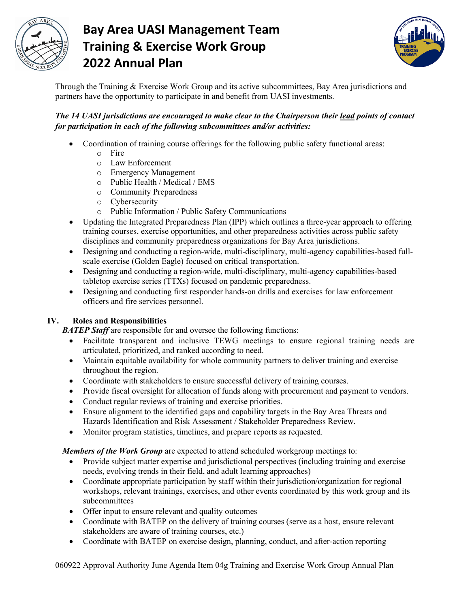

# **Bay Area UASI Management Team Training & Exercise Work Group 2022 Annual Plan**



Through the Training & Exercise Work Group and its active subcommittees, Bay Area jurisdictions and partners have the opportunity to participate in and benefit from UASI investments.

### *The 14 UASI jurisdictions are encouraged to make clear to the Chairperson their lead points of contact for participation in each of the following subcommittees and/or activities:*

- Coordination of training course offerings for the following public safety functional areas:
	- o Fire
	- o Law Enforcement
	- o Emergency Management
	- o Public Health / Medical / EMS
	- o Community Preparedness
	- o Cybersecurity
	- o Public Information / Public Safety Communications
- Updating the Integrated Preparedness Plan (IPP) which outlines a three-year approach to offering training courses, exercise opportunities, and other preparedness activities across public safety disciplines and community preparedness organizations for Bay Area jurisdictions.
- Designing and conducting a region-wide, multi-disciplinary, multi-agency capabilities-based fullscale exercise (Golden Eagle) focused on critical transportation.
- Designing and conducting a region-wide, multi-disciplinary, multi-agency capabilities-based tabletop exercise series (TTXs) focused on pandemic preparedness.
- Designing and conducting first responder hands-on drills and exercises for law enforcement officers and fire services personnel.

### **IV. Roles and Responsibilities**

**BATEP Staff** are responsible for and oversee the following functions:

- Facilitate transparent and inclusive TEWG meetings to ensure regional training needs are articulated, prioritized, and ranked according to need.
- Maintain equitable availability for whole community partners to deliver training and exercise throughout the region.
- Coordinate with stakeholders to ensure successful delivery of training courses.
- Provide fiscal oversight for allocation of funds along with procurement and payment to vendors.
- Conduct regular reviews of training and exercise priorities.
- Ensure alignment to the identified gaps and capability targets in the Bay Area Threats and Hazards Identification and Risk Assessment / Stakeholder Preparedness Review.
- Monitor program statistics, timelines, and prepare reports as requested.

*Members of the Work Group* are expected to attend scheduled workgroup meetings to:

- Provide subject matter expertise and jurisdictional perspectives (including training and exercise needs, evolving trends in their field, and adult learning approaches)
- Coordinate appropriate participation by staff within their jurisdiction/organization for regional workshops, relevant trainings, exercises, and other events coordinated by this work group and its subcommittees
- Offer input to ensure relevant and quality outcomes
- Coordinate with BATEP on the delivery of training courses (serve as a host, ensure relevant stakeholders are aware of training courses, etc.)
- Coordinate with BATEP on exercise design, planning, conduct, and after-action reporting

060922 Approval Authority June Agenda Item 04g Training and Exercise Work Group Annual Plan